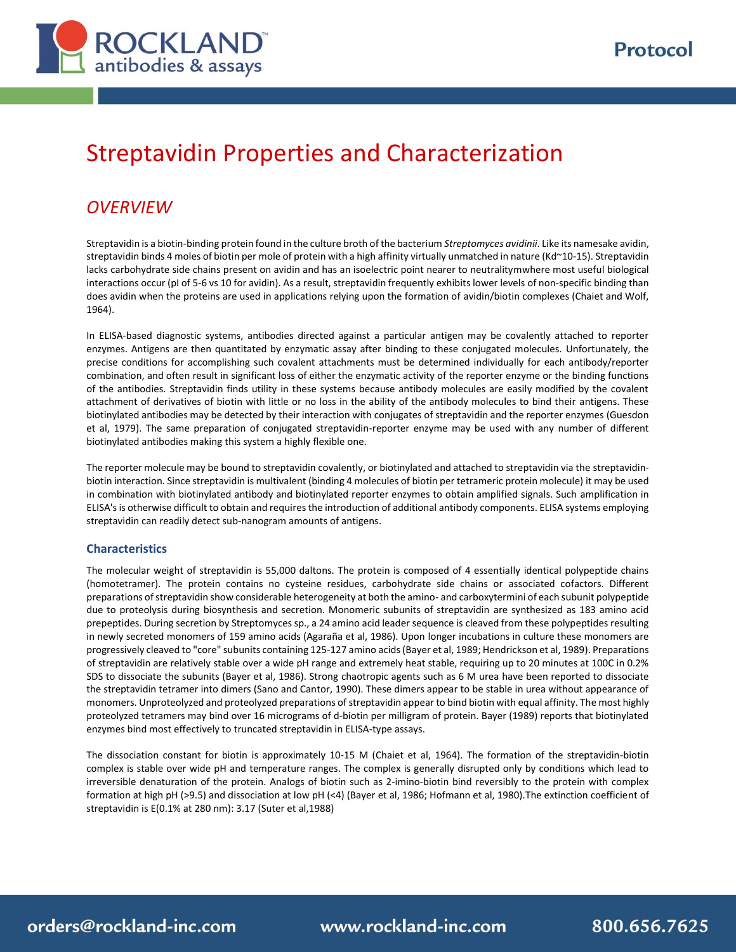

# Streptavidin Properties and Characterization

# *OVERVIEW*

Streptavidin is a biotin-binding protein found in the culture broth of the bacterium *Streptomyces avidinii*. Like its namesake avidin, streptavidin binds 4 moles of biotin per mole of protein with a high affinity virtually unmatched in nature (Kd~10-15). Streptavidin lacks carbohydrate side chains present on avidin and has an isoelectric point nearer to neutralitymwhere most useful biological interactions occur (pI of 5-6 vs 10 for avidin). As a result, streptavidin frequently exhibits lower levels of non-specific binding than does avidin when the proteins are used in applications relying upon the formation of avidin/biotin complexes (Chaiet and Wolf, 1964).

In ELISA-based diagnostic systems, antibodies directed against a particular antigen may be covalently attached to reporter enzymes. Antigens are then quantitated by enzymatic assay after binding to these conjugated molecules. Unfortunately, the precise conditions for accomplishing such covalent attachments must be determined individually for each antibody/reporter combination, and often result in significant loss of either the enzymatic activity of the reporter enzyme or the binding functions of the antibodies. Streptavidin finds utility in these systems because antibody molecules are easily modified by the covalent attachment of derivatives of biotin with little or no loss in the ability of the antibody molecules to bind their antigens. These biotinylated antibodies may be detected by their interaction with conjugates of streptavidin and the reporter enzymes (Guesdon et al, 1979). The same preparation of conjugated streptavidin-reporter enzyme may be used with any number of different biotinylated antibodies making this system a highly flexible one.

The reporter molecule may be bound to streptavidin covalently, or biotinylated and attached to streptavidin via the streptavidinbiotin interaction. Since streptavidin is multivalent (binding 4 molecules of biotin per tetrameric protein molecule) it may be used in combination with biotinylated antibody and biotinylated reporter enzymes to obtain amplified signals. Such amplification in ELISA's is otherwise difficult to obtain and requires the introduction of additional antibody components. ELISA systems employing streptavidin can readily detect sub-nanogram amounts of antigens.

#### **Characteristics**

The molecular weight of streptavidin is 55,000 daltons. The protein is composed of 4 essentially identical polypeptide chains (homotetramer). The protein contains no cysteine residues, carbohydrate side chains or associated cofactors. Different preparations of streptavidin show considerable heterogeneity at both the amino- and carboxytermini of each subunit polypeptide due to proteolysis during biosynthesis and secretion. Monomeric subunits of streptavidin are synthesized as 183 amino acid prepeptides. During secretion by Streptomyces sp., a 24 amino acid leader sequence is cleaved from these polypeptides resulting in newly secreted monomers of 159 amino acids (Agaraña et al, 1986). Upon longer incubations in culture these monomers are progressively cleaved to "core" subunits containing 125-127 amino acids(Bayer et al, 1989; Hendrickson et al, 1989). Preparations of streptavidin are relatively stable over a wide pH range and extremely heat stable, requiring up to 20 minutes at 100C in 0.2% SDS to dissociate the subunits (Bayer et al, 1986). Strong chaotropic agents such as 6 M urea have been reported to dissociate the streptavidin tetramer into dimers (Sano and Cantor, 1990). These dimers appear to be stable in urea without appearance of monomers. Unproteolyzed and proteolyzed preparations of streptavidin appear to bind biotin with equal affinity. The most highly proteolyzed tetramers may bind over 16 micrograms of d-biotin per milligram of protein. Bayer (1989) reports that biotinylated enzymes bind most effectively to truncated streptavidin in ELISA-type assays.

The dissociation constant for biotin is approximately 10-15 M (Chaiet et al, 1964). The formation of the streptavidin-biotin complex is stable over wide pH and temperature ranges. The complex is generally disrupted only by conditions which lead to irreversible denaturation of the protein. Analogs of biotin such as 2-imino-biotin bind reversibly to the protein with complex formation at high pH (>9.5) and dissociation at low pH (<4) (Bayer et al, 1986; Hofmann et al, 1980).The extinction coefficient of streptavidin is E(0.1% at 280 nm): 3.17 (Suter et al,1988)

orders@rockland-inc.com

www.rockland-inc.com

800.656.7625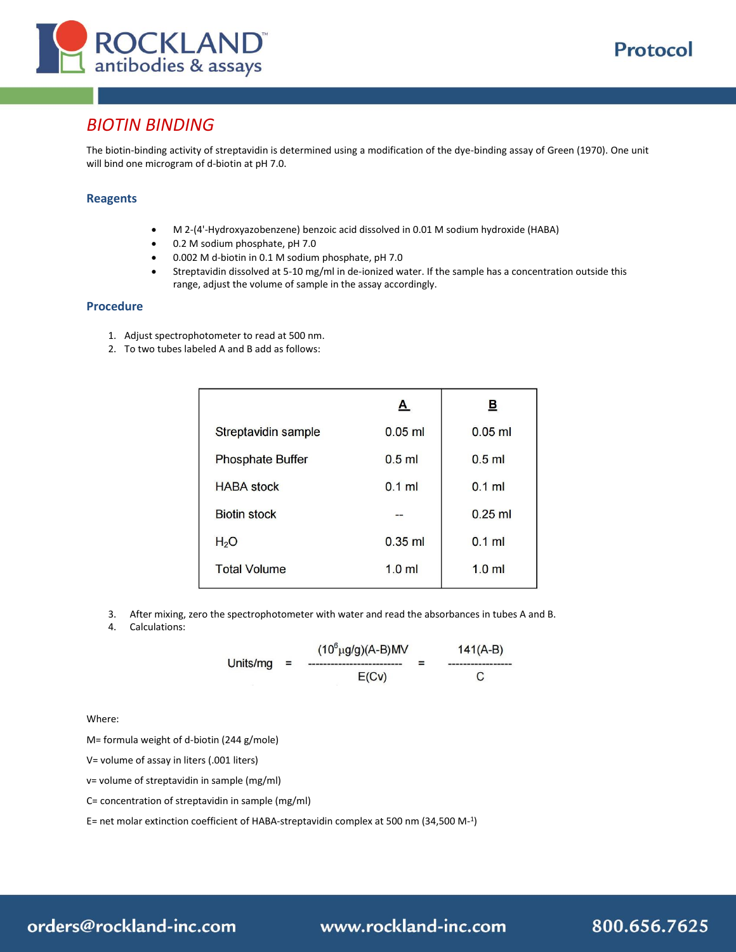

# *BIOTIN BINDING*

The biotin-binding activity of streptavidin is determined using a modification of the dye-binding assay of Green (1970). One unit will bind one microgram of d-biotin at pH 7.0.

#### **Reagents**

- M 2-(4'-Hydroxyazobenzene) benzoic acid dissolved in 0.01 M sodium hydroxide (HABA)
- 0.2 M sodium phosphate, pH 7.0
- 0.002 M d-biotin in 0.1 M sodium phosphate, pH 7.0
- Streptavidin dissolved at 5-10 mg/ml in de-ionized water. If the sample has a concentration outside this range, adjust the volume of sample in the assay accordingly.

#### **Procedure**

- 1. Adjust spectrophotometer to read at 500 nm.
- 2. To two tubes labeled A and B add as follows:

|                         | A                | 旦         |
|-------------------------|------------------|-----------|
| Streptavidin sample     | $0.05$ ml        | $0.05$ ml |
| <b>Phosphate Buffer</b> | $0.5$ ml         | $0.5$ ml  |
| <b>HABA</b> stock       | $0.1$ ml         | $0.1$ ml  |
| <b>Biotin stock</b>     |                  | $0.25$ ml |
| H <sub>2</sub> O        | $0.35$ ml        | $0.1$ ml  |
| <b>Total Volume</b>     | 1.0 <sub>m</sub> | $1.0$ ml  |

- 3. After mixing, zero the spectrophotometer with water and read the absorbances in tubes A and B.
- 4. Calculations:

 $(10^6 \mu g/g)(A-B)MV$  $141(A-B)$ Units/mg  $E(Cv)$ C

Where:

M= formula weight of d-biotin (244 g/mole)

V= volume of assay in liters (.001 liters)

v= volume of streptavidin in sample (mg/ml)

C= concentration of streptavidin in sample (mg/ml)

E= net molar extinction coefficient of HABA-streptavidin complex at 500 nm (34,500 M-1 )

# orders@rockland-inc.com

www.rockland-inc.com

Protocol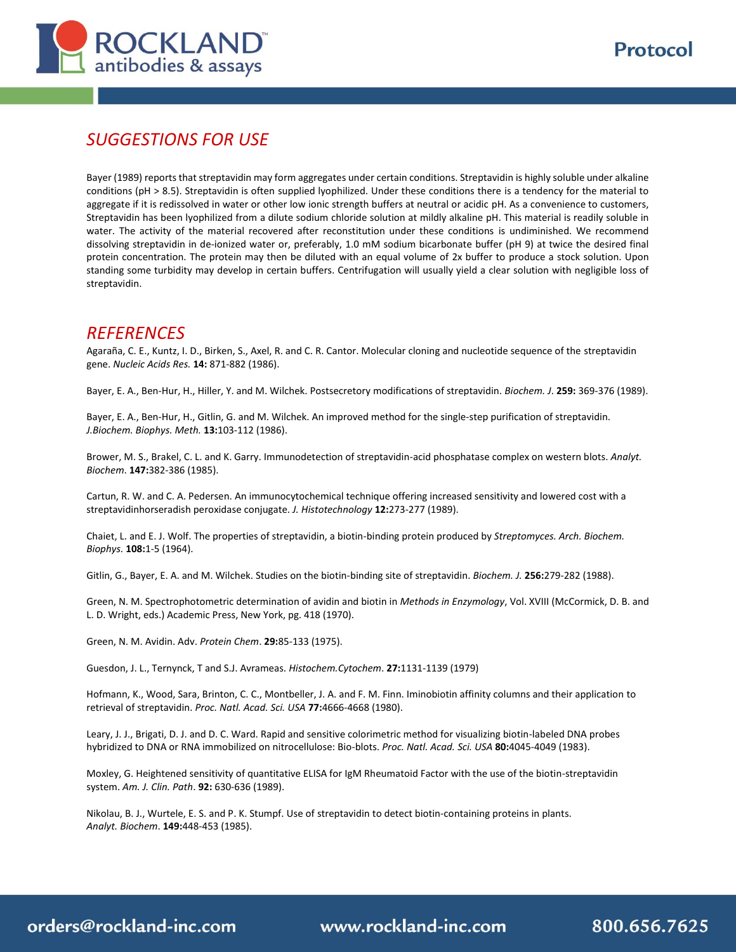

800.656.7625

# *SUGGESTIONS FOR USE*

Bayer (1989) reports that streptavidin may form aggregates under certain conditions. Streptavidin is highly soluble under alkaline conditions (pH > 8.5). Streptavidin is often supplied lyophilized. Under these conditions there is a tendency for the material to aggregate if it is redissolved in water or other low ionic strength buffers at neutral or acidic pH. As a convenience to customers, Streptavidin has been lyophilized from a dilute sodium chloride solution at mildly alkaline pH. This material is readily soluble in water. The activity of the material recovered after reconstitution under these conditions is undiminished. We recommend dissolving streptavidin in de-ionized water or, preferably, 1.0 mM sodium bicarbonate buffer (pH 9) at twice the desired final protein concentration. The protein may then be diluted with an equal volume of 2x buffer to produce a stock solution. Upon standing some turbidity may develop in certain buffers. Centrifugation will usually yield a clear solution with negligible loss of streptavidin.

### *REFERENCES*

Agaraña, C. E., Kuntz, I. D., Birken, S., Axel, R. and C. R. Cantor. Molecular cloning and nucleotide sequence of the streptavidin gene. *Nucleic Acids Res.* **14:** 871-882 (1986).

Bayer, E. A., Ben-Hur, H., Hiller, Y. and M. Wilchek. Postsecretory modifications of streptavidin. *Biochem. J*. **259:** 369-376 (1989).

Bayer, E. A., Ben-Hur, H., Gitlin, G. and M. Wilchek. An improved method for the single-step purification of streptavidin. *J.Biochem. Biophys. Meth.* **13:**103-112 (1986).

Brower, M. S., Brakel, C. L. and K. Garry. Immunodetection of streptavidin-acid phosphatase complex on western blots. *Analyt. Biochem*. **147:**382-386 (1985).

Cartun, R. W. and C. A. Pedersen. An immunocytochemical technique offering increased sensitivity and lowered cost with a streptavidinhorseradish peroxidase conjugate. *J. Histotechnology* **12:**273-277 (1989).

Chaiet, L. and E. J. Wolf. The properties of streptavidin, a biotin-binding protein produced by *Streptomyces. Arch. Biochem. Biophys.* **108:**1-5 (1964).

Gitlin, G., Bayer, E. A. and M. Wilchek. Studies on the biotin-binding site of streptavidin. *Biochem. J.* **256:**279-282 (1988).

Green, N. M. Spectrophotometric determination of avidin and biotin in *Methods in Enzymology*, Vol. XVIII (McCormick, D. B. and L. D. Wright, eds.) Academic Press, New York, pg. 418 (1970).

Green, N. M. Avidin. Adv. *Protein Chem*. **29:**85-133 (1975).

Guesdon, J. L., Ternynck, T and S.J. Avrameas. *Histochem.Cytochem*. **27:**1131-1139 (1979)

Hofmann, K., Wood, Sara, Brinton, C. C., Montbeller, J. A. and F. M. Finn. Iminobiotin affinity columns and their application to retrieval of streptavidin. *Proc. Natl. Acad. Sci. USA* **77:**4666-4668 (1980).

Leary, J. J., Brigati, D. J. and D. C. Ward. Rapid and sensitive colorimetric method for visualizing biotin-labeled DNA probes hybridized to DNA or RNA immobilized on nitrocellulose: Bio-blots. *Proc. Natl. Acad. Sci. USA* **80:**4045-4049 (1983).

Moxley, G. Heightened sensitivity of quantitative ELISA for IgM Rheumatoid Factor with the use of the biotin-streptavidin system. *Am. J. Clin. Path*. **92:** 630-636 (1989).

Nikolau, B. J., Wurtele, E. S. and P. K. Stumpf. Use of streptavidin to detect biotin-containing proteins in plants. *Analyt. Biochem*. **149:**448-453 (1985).

orders@rockland-inc.com

www.rockland-inc.com